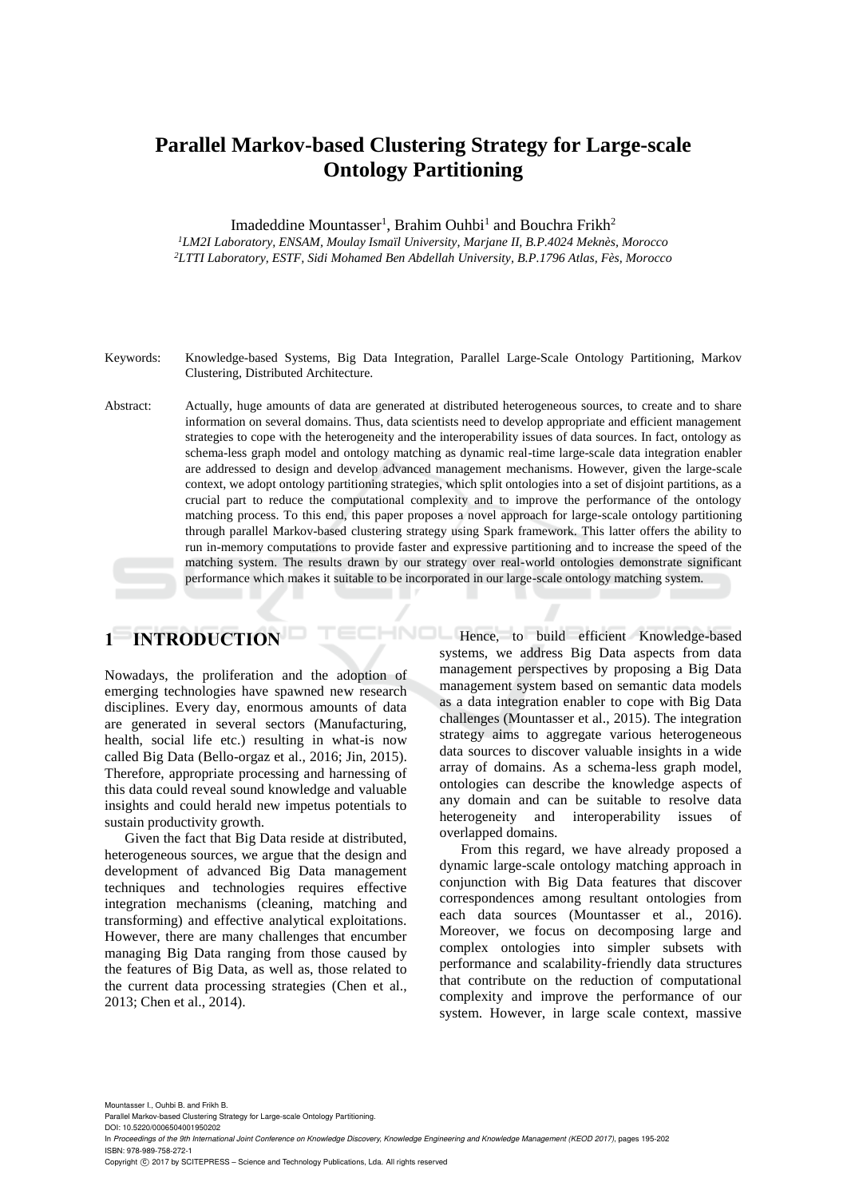# **Parallel Markov-based Clustering Strategy for Large-scale Ontology Partitioning**

Imadeddine Mountasser<sup>1</sup>, Brahim Ouhbi<sup>1</sup> and Bouchra Frikh<sup>2</sup> *<sup>1</sup>LM2I Laboratory, ENSAM, Moulay Ismaïl University, Marjane II, B.P.4024 Meknès, Morocco <sup>2</sup>LTTI Laboratory, ESTF, Sidi Mohamed Ben Abdellah University, B.P.1796 Atlas, Fès, Morocco* 

- Keywords: Knowledge-based Systems, Big Data Integration, Parallel Large-Scale Ontology Partitioning, Markov Clustering, Distributed Architecture.
- Abstract: Actually, huge amounts of data are generated at distributed heterogeneous sources, to create and to share information on several domains. Thus, data scientists need to develop appropriate and efficient management strategies to cope with the heterogeneity and the interoperability issues of data sources. In fact, ontology as schema-less graph model and ontology matching as dynamic real-time large-scale data integration enabler are addressed to design and develop advanced management mechanisms. However, given the large-scale context, we adopt ontology partitioning strategies, which split ontologies into a set of disjoint partitions, as a crucial part to reduce the computational complexity and to improve the performance of the ontology matching process. To this end, this paper proposes a novel approach for large-scale ontology partitioning through parallel Markov-based clustering strategy using Spark framework. This latter offers the ability to run in-memory computations to provide faster and expressive partitioning and to increase the speed of the matching system. The results drawn by our strategy over real-world ontologies demonstrate significant performance which makes it suitable to be incorporated in our large-scale ontology matching system.

# **1 INTRODUCTION**

Nowadays, the proliferation and the adoption of emerging technologies have spawned new research disciplines. Every day, enormous amounts of data are generated in several sectors (Manufacturing, health, social life etc.) resulting in what-is now called Big Data (Bello-orgaz et al., 2016; Jin, 2015). Therefore, appropriate processing and harnessing of this data could reveal sound knowledge and valuable insights and could herald new impetus potentials to sustain productivity growth.

Given the fact that Big Data reside at distributed, heterogeneous sources, we argue that the design and development of advanced Big Data management techniques and technologies requires effective integration mechanisms (cleaning, matching and transforming) and effective analytical exploitations. However, there are many challenges that encumber managing Big Data ranging from those caused by the features of Big Data, as well as, those related to the current data processing strategies (Chen et al., 2013; Chen et al., 2014).

HNOL Hence, to build efficient Knowledge-based systems, we address Big Data aspects from data management perspectives by proposing a Big Data management system based on semantic data models as a data integration enabler to cope with Big Data challenges (Mountasser et al., 2015). The integration strategy aims to aggregate various heterogeneous data sources to discover valuable insights in a wide array of domains. As a schema-less graph model, ontologies can describe the knowledge aspects of any domain and can be suitable to resolve data heterogeneity and interoperability issues of overlapped domains.

> From this regard, we have already proposed a dynamic large-scale ontology matching approach in conjunction with Big Data features that discover correspondences among resultant ontologies from each data sources (Mountasser et al., 2016). Moreover, we focus on decomposing large and complex ontologies into simpler subsets with performance and scalability-friendly data structures that contribute on the reduction of computational complexity and improve the performance of our system. However, in large scale context, massive

Mountasser I., Ouhbi B. and Frikh B. Parallel Markov-based Clustering Strategy for Large-scale Ontology Partitioning. DOI: 10.5220/0006504001950202

In *Proceedings of the 9th International Joint Conference on Knowledge Discovery, Knowledge Engineering and Knowledge Management (KEOD 2017)*, pages 195-202 ISBN: 978-989-758-272-1

Copyright © 2017 by SCITEPRESS - Science and Technology Publications, Lda. All rights reserved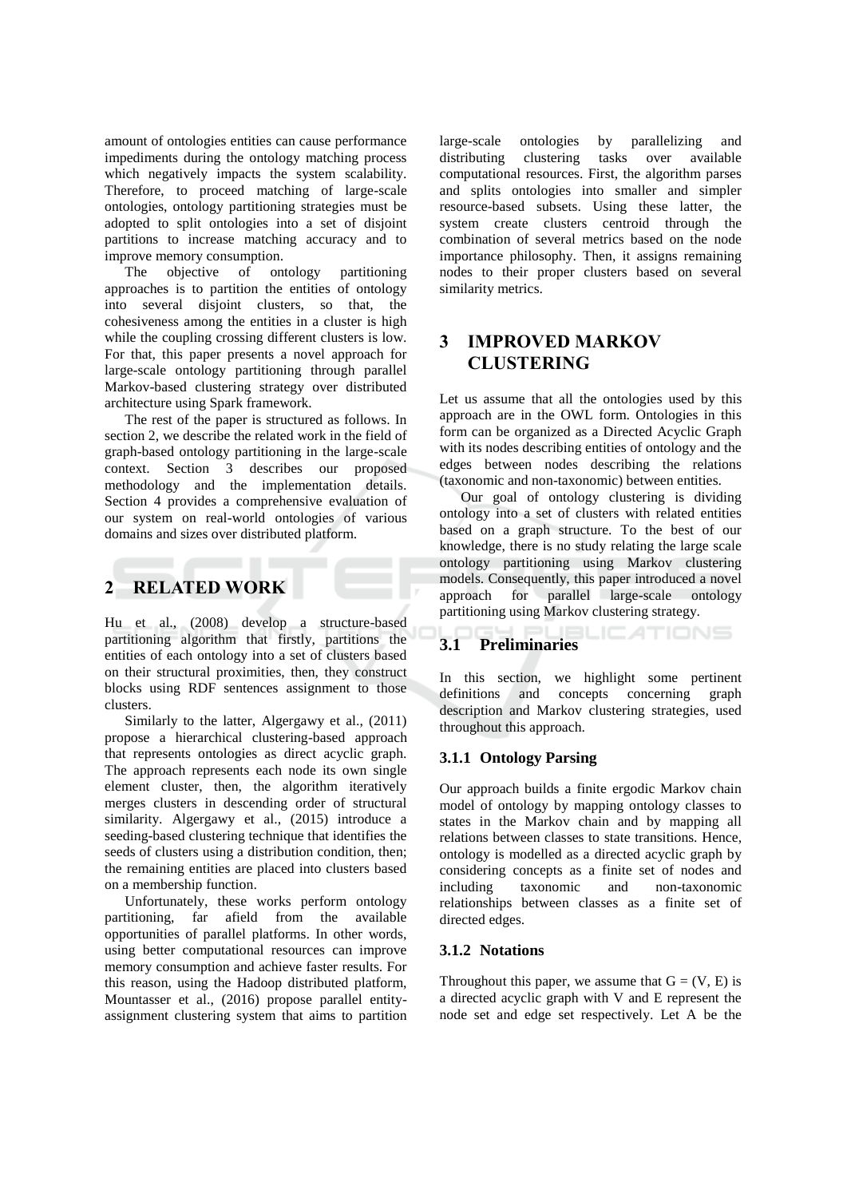amount of ontologies entities can cause performance impediments during the ontology matching process which negatively impacts the system scalability. Therefore, to proceed matching of large-scale ontologies, ontology partitioning strategies must be adopted to split ontologies into a set of disjoint partitions to increase matching accuracy and to improve memory consumption.

The objective of ontology partitioning approaches is to partition the entities of ontology into several disjoint clusters, so that, the cohesiveness among the entities in a cluster is high while the coupling crossing different clusters is low. For that, this paper presents a novel approach for large-scale ontology partitioning through parallel Markov-based clustering strategy over distributed architecture using Spark framework.

The rest of the paper is structured as follows. In section 2, we describe the related work in the field of graph-based ontology partitioning in the large-scale context. Section 3 describes our proposed methodology and the implementation details. Section 4 provides a comprehensive evaluation of our system on real-world ontologies of various domains and sizes over distributed platform.

#### $2^{\circ}$ **RELATED WORK**

Hu et al., (2008) develop a structure-based partitioning algorithm that firstly, partitions the entities of each ontology into a set of clusters based on their structural proximities, then, they construct blocks using RDF sentences assignment to those clusters.

Similarly to the latter, Algergawy et al., (2011) propose a hierarchical clustering-based approach that represents ontologies as direct acyclic graph. The approach represents each node its own single element cluster, then, the algorithm iteratively merges clusters in descending order of structural similarity. Algergawy et al., (2015) introduce a seeding-based clustering technique that identifies the seeds of clusters using a distribution condition, then; the remaining entities are placed into clusters based on a membership function.

Unfortunately, these works perform ontology partitioning, far afield from the available opportunities of parallel platforms. In other words, using better computational resources can improve memory consumption and achieve faster results. For this reason, using the Hadoop distributed platform, Mountasser et al., (2016) propose parallel entityassignment clustering system that aims to partition

large-scale ontologies by parallelizing and clustering tasks over available distributing computational resources. First, the algorithm parses and splits ontologies into smaller and simpler resource-based subsets. Using these latter, the system create clusters centroid through the combination of several metrics based on the node importance philosophy. Then, it assigns remaining nodes to their proper clusters based on several similarity metrics.

### **IMPROVED MARKOV**  $\mathbf{R}$ **CLUSTERING**

Let us assume that all the ontologies used by this approach are in the OWL form. Ontologies in this form can be organized as a Directed Acyclic Graph with its nodes describing entities of ontology and the edges between nodes describing the relations (taxonomic and non-taxonomic) between entities.

Our goal of ontology clustering is dividing ontology into a set of clusters with related entities based on a graph structure. To the best of our knowledge, there is no study relating the large scale ontology partitioning using Markov clustering models. Consequently, this paper introduced a novel approach for parallel large-scale ontology partitioning using Markov clustering strategy.

#### SLIC ATIONS  $3.1$ **Preliminaries**

In this section, we highlight some pertinent definitions and concepts concerning graph description and Markov clustering strategies, used throughout this approach.

# 3.1.1 Ontology Parsing

Our approach builds a finite ergodic Markov chain model of ontology by mapping ontology classes to states in the Markov chain and by mapping all relations between classes to state transitions. Hence, ontology is modelled as a directed acyclic graph by considering concepts as a finite set of nodes and including taxonomic and non-taxonomic relationships between classes as a finite set of directed edges.

# 3.1.2 Notations

Throughout this paper, we assume that  $G = (V, E)$  is a directed acyclic graph with V and E represent the node set and edge set respectively. Let A be the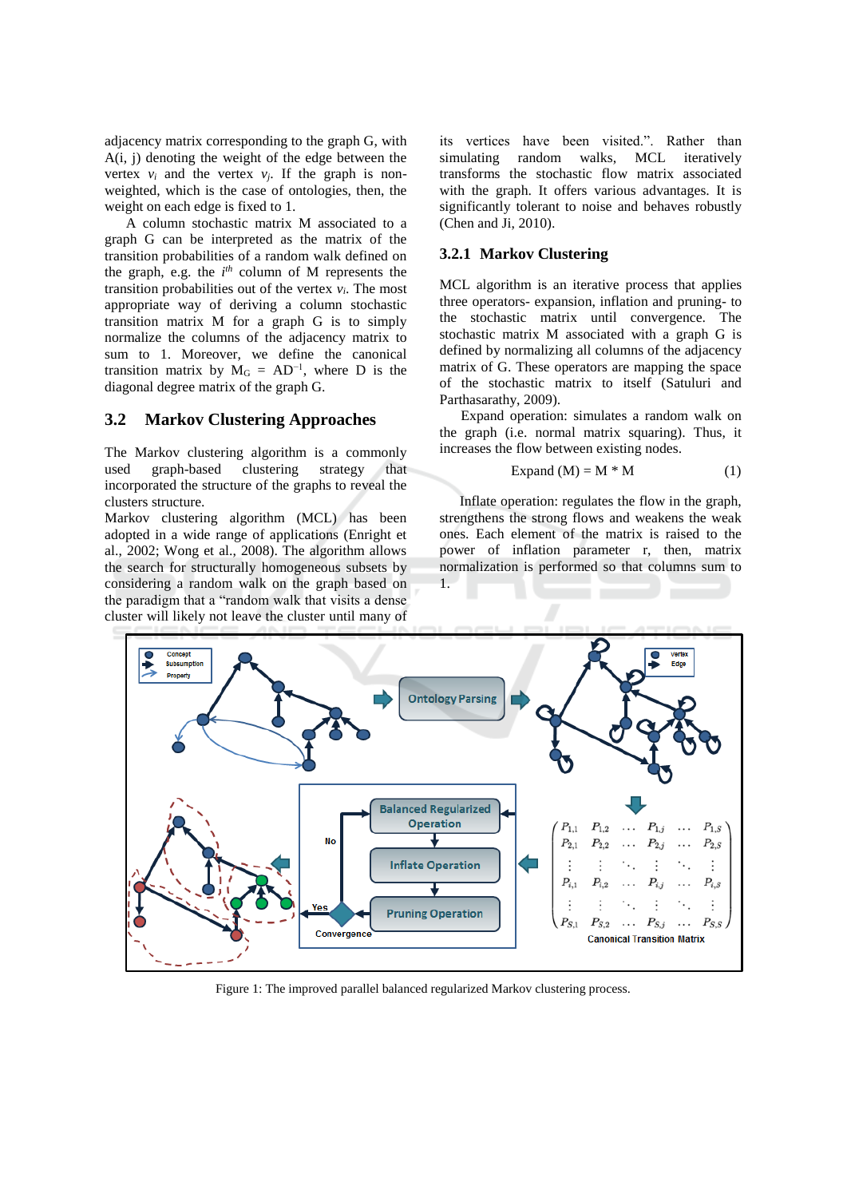adjacency matrix corresponding to the graph G, with  $A(i, j)$  denoting the weight of the edge between the vertex  $v_i$  and the vertex  $v_i$ . If the graph is nonweighted, which is the case of ontologies, then, the weight on each edge is fixed to 1.

A column stochastic matrix M associated to a graph G can be interpreted as the matrix of the transition probabilities of a random walk defined on the graph, e.g. the  $i^{th}$  column of M represents the transition probabilities out of the vertex  $v_i$ . The most appropriate way of deriving a column stochastic transition matrix M for a graph G is to simply normalize the columns of the adjacency matrix to sum to 1. Moreover, we define the canonical transition matrix by  $M_G = AD^{-1}$ , where D is the diagonal degree matrix of the graph G.

#### $3.2$ **Markov Clustering Approaches**

The Markov clustering algorithm is a commonly graph-based clustering strategy that used incorporated the structure of the graphs to reveal the clusters structure.

Markov clustering algorithm (MCL) has been adopted in a wide range of applications (Enright et al., 2002; Wong et al., 2008). The algorithm allows the search for structurally homogeneous subsets by considering a random walk on the graph based on the paradigm that a "random walk that visits a dense cluster will likely not leave the cluster until many of

its vertices have been visited.". Rather than simulating random walks, MCL iteratively transforms the stochastic flow matrix associated with the graph. It offers various advantages. It is significantly tolerant to noise and behaves robustly (Chen and Ji, 2010).

### 3.2.1 Markov Clustering

MCL algorithm is an iterative process that applies three operators- expansion, inflation and pruning- to the stochastic matrix until convergence. The stochastic matrix M associated with a graph G is defined by normalizing all columns of the adjacency matrix of G. These operators are mapping the space of the stochastic matrix to itself (Satuluri and Parthasarathy, 2009).

Expand operation: simulates a random walk on the graph (i.e. normal matrix squaring). Thus, it increases the flow between existing nodes.

$$
Expand (M) = M * M
$$
 (1)

Inflate operation: regulates the flow in the graph, strengthens the strong flows and weakens the weak ones. Each element of the matrix is raised to the power of inflation parameter r, then, matrix normalization is performed so that columns sum to  $1$ 



Figure 1: The improved parallel balanced regularized Markov clustering process.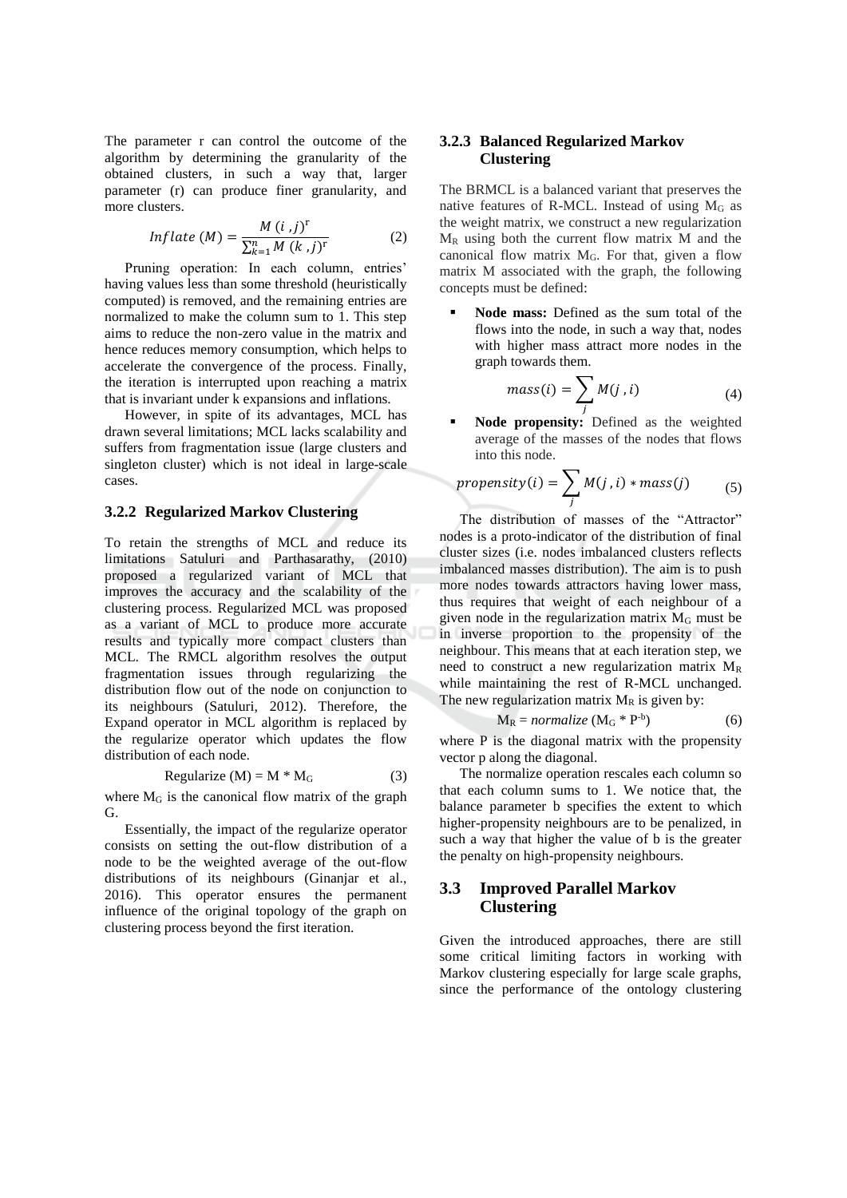The parameter r can control the outcome of the algorithm by determining the granularity of the obtained clusters, in such a way that, larger parameter (r) can produce finer granularity, and more clusters.

$$
Inflate(M) = \frac{M(i,j)^{1}}{\sum_{k=1}^{n} M(k,j)^{r}}
$$
 (2)

Pruning operation: In each column, entries' having values less than some threshold (heuristically computed) is removed, and the remaining entries are normalized to make the column sum to 1. This step aims to reduce the non-zero value in the matrix and hence reduces memory consumption, which helps to accelerate the convergence of the process. Finally, the iteration is interrupted upon reaching a matrix that is invariant under k expansions and inflations.

However, in spite of its advantages, MCL has drawn several limitations; MCL lacks scalability and suffers from fragmentation issue (large clusters and singleton cluster) which is not ideal in large-scale cases

### 3.2.2 Regularized Markov Clustering

To retain the strengths of MCL and reduce its limitations Satuluri and Parthasarathy, (2010) proposed a regularized variant of MCL that improves the accuracy and the scalability of the clustering process. Regularized MCL was proposed as a variant of MCL to produce more accurate results and typically more compact clusters than MCL. The RMCL algorithm resolves the output fragmentation issues through regularizing the distribution flow out of the node on conjunction to its neighbours (Satuluri, 2012). Therefore, the Expand operator in MCL algorithm is replaced by the regularize operator which updates the flow distribution of each node.

$$
Regularize (M) = M * MG \t(3)
$$

where  $M_G$  is the canonical flow matrix of the graph G.

Essentially, the impact of the regularize operator consists on setting the out-flow distribution of a node to be the weighted average of the out-flow distributions of its neighbours (Ginanjar et al., 2016). This operator ensures the permanent influence of the original topology of the graph on clustering process beyond the first iteration.

### 3.2.3 Balanced Regularized Markov **Clustering**

The BRMCL is a balanced variant that preserves the native features of R-MCL. Instead of using  $M_G$  as the weight matrix, we construct a new regularization  $M_R$  using both the current flow matrix M and the canonical flow matrix  $M<sub>G</sub>$ . For that, given a flow matrix M associated with the graph, the following concepts must be defined:

Node mass: Defined as the sum total of the flows into the node, in such a way that, nodes with higher mass attract more nodes in the graph towards them.

$$
mass(i) = \sum_{i} M(j, i) \tag{4}
$$

Node propensity: Defined as the weighted average of the masses of the nodes that flows into this node.

$$
propensity(i) = \sum_{j} M(j, i) * mass(j) \tag{5}
$$

The distribution of masses of the "Attractor" nodes is a proto-indicator of the distribution of final cluster sizes (i.e. nodes imbalanced clusters reflects imbalanced masses distribution). The aim is to push more nodes towards attractors having lower mass, thus requires that weight of each neighbour of a given node in the regularization matrix  $M<sub>G</sub>$  must be in inverse proportion to the propensity of the neighbour. This means that at each iteration step, we need to construct a new regularization matrix  $M_R$ while maintaining the rest of R-MCL unchanged. The new regularization matrix  $M_R$  is given by:

$$
M_R = normalize (M_G * P-b)
$$
 (6)

where P is the diagonal matrix with the propensity vector p along the diagonal.

The normalize operation rescales each column so that each column sums to 1. We notice that, the balance parameter b specifies the extent to which higher-propensity neighbours are to be penalized, in such a way that higher the value of b is the greater the penalty on high-propensity neighbours.

### **Improved Parallel Markov** 3.3 **Clustering**

Given the introduced approaches, there are still some critical limiting factors in working with Markov clustering especially for large scale graphs, since the performance of the ontology clustering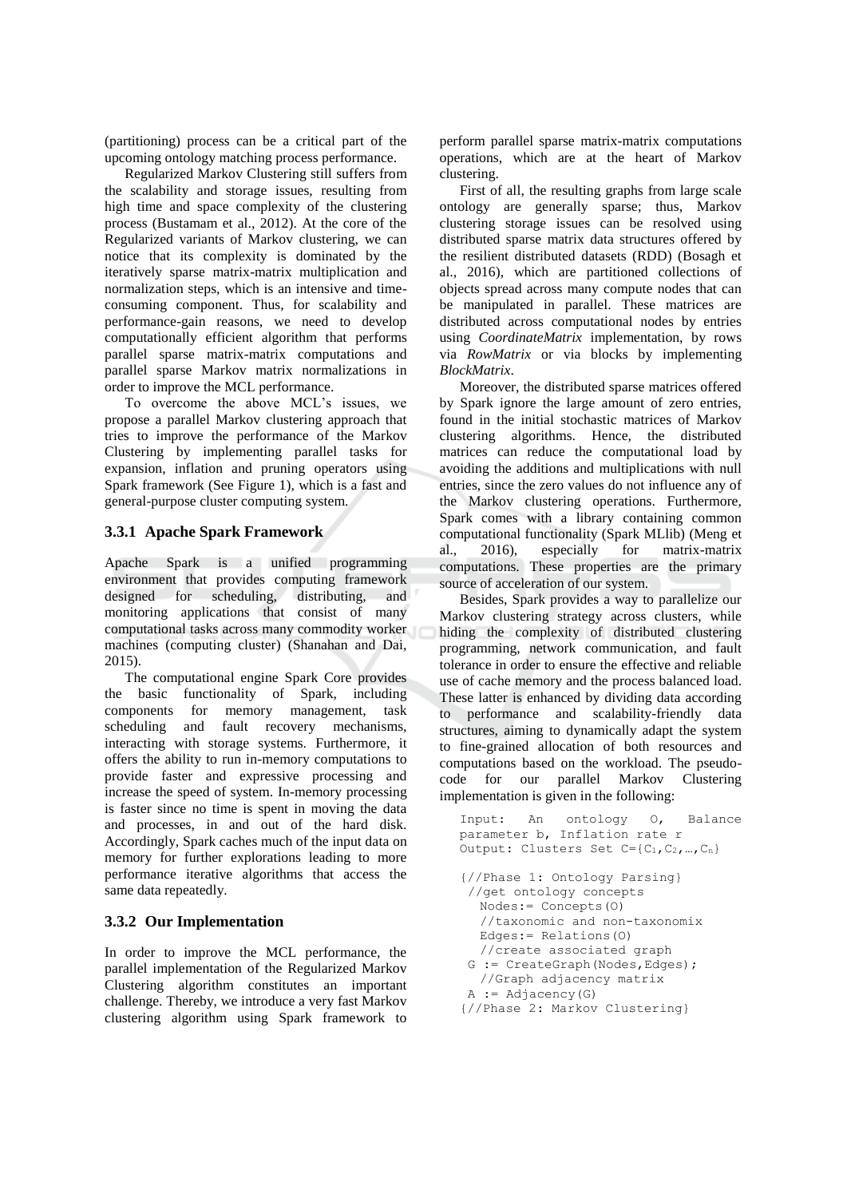(partitioning) process can be a critical part of the upcoming ontology matching process performance.

Regularized Markov Clustering still suffers from the scalability and storage issues, resulting from high time and space complexity of the clustering process (Bustamam et al., 2012). At the core of the Regularized variants of Markov clustering, we can notice that its complexity is dominated by the iteratively sparse matrix-matrix multiplication and normalization steps, which is an intensive and timeconsuming component. Thus, for scalability and performance-gain reasons, we need to develop computationally efficient algorithm that performs parallel sparse matrix-matrix computations and parallel sparse Markov matrix normalizations in order to improve the MCL performance.

To overcome the above MCL's issues, we propose a parallel Markov clustering approach that tries to improve the performance of the Markov Clustering by implementing parallel tasks for expansion, inflation and pruning operators using Spark framework (See Figure 1), which is a fast and general-purpose cluster computing system.

# 3.3.1 Apache Spark Framework

Apache Spark is a unified programming environment that provides computing framework designed for scheduling, distributing, and monitoring applications that consist of many computational tasks across many commodity worker machines (computing cluster) (Shanahan and Dai,  $2015$ ).

The computational engine Spark Core provides the basic functionality of Spark, including components for memory management, task scheduling and fault recovery mechanisms, interacting with storage systems. Furthermore, it offers the ability to run in-memory computations to provide faster and expressive processing and increase the speed of system. In-memory processing is faster since no time is spent in moving the data and processes, in and out of the hard disk. Accordingly, Spark caches much of the input data on memory for further explorations leading to more performance iterative algorithms that access the same data repeatedly.

# 3.3.2 Our Implementation

In order to improve the MCL performance, the parallel implementation of the Regularized Markov Clustering algorithm constitutes an important challenge. Thereby, we introduce a very fast Markov clustering algorithm using Spark framework to

perform parallel sparse matrix-matrix computations operations, which are at the heart of Markov clustering.

First of all, the resulting graphs from large scale ontology are generally sparse; thus, Markov clustering storage issues can be resolved using distributed sparse matrix data structures offered by the resilient distributed datasets (RDD) (Bosagh et al., 2016), which are partitioned collections of objects spread across many compute nodes that can be manipulated in parallel. These matrices are distributed across computational nodes by entries using *CoordinateMatrix* implementation, by rows via RowMatrix or via blocks by implementing BlockMatrix.

Moreover, the distributed sparse matrices offered by Spark ignore the large amount of zero entries. found in the initial stochastic matrices of Markov clustering algorithms. Hence, the distributed matrices can reduce the computational load by avoiding the additions and multiplications with null entries, since the zero values do not influence any of the Markov clustering operations. Furthermore, Spark comes with a library containing common computational functionality (Spark MLlib) (Meng et  $al.$ 2016). especially for matrix-matrix computations. These properties are the primary source of acceleration of our system.

Besides, Spark provides a way to parallelize our Markov clustering strategy across clusters, while hiding the complexity of distributed clustering programming, network communication, and fault tolerance in order to ensure the effective and reliable use of cache memory and the process balanced load. These latter is enhanced by dividing data according to performance and scalability-friendly data structures, aiming to dynamically adapt the system to fine-grained allocation of both resources and computations based on the workload. The pseudocode for our parallel Markov Clustering implementation is given in the following:

```
Input:
        An
              ontology
                        \circ.
                               Balance
parameter b, Inflation rate r
Output: Clusters Set C = \{C_1, C_2, ..., C_n\}{//Phase 1: Ontology Parsing}
//get ontology concepts
  Nodes := Concepts (0)//taxonomic and non-taxonomix
  Edges:= Relations(0)//create associated graph
G := CreateGraph (Nodes, Edges) ;
  //Graph adjacency matrix
A := Adjacency(G){//Phase 2: Markov Clustering}
```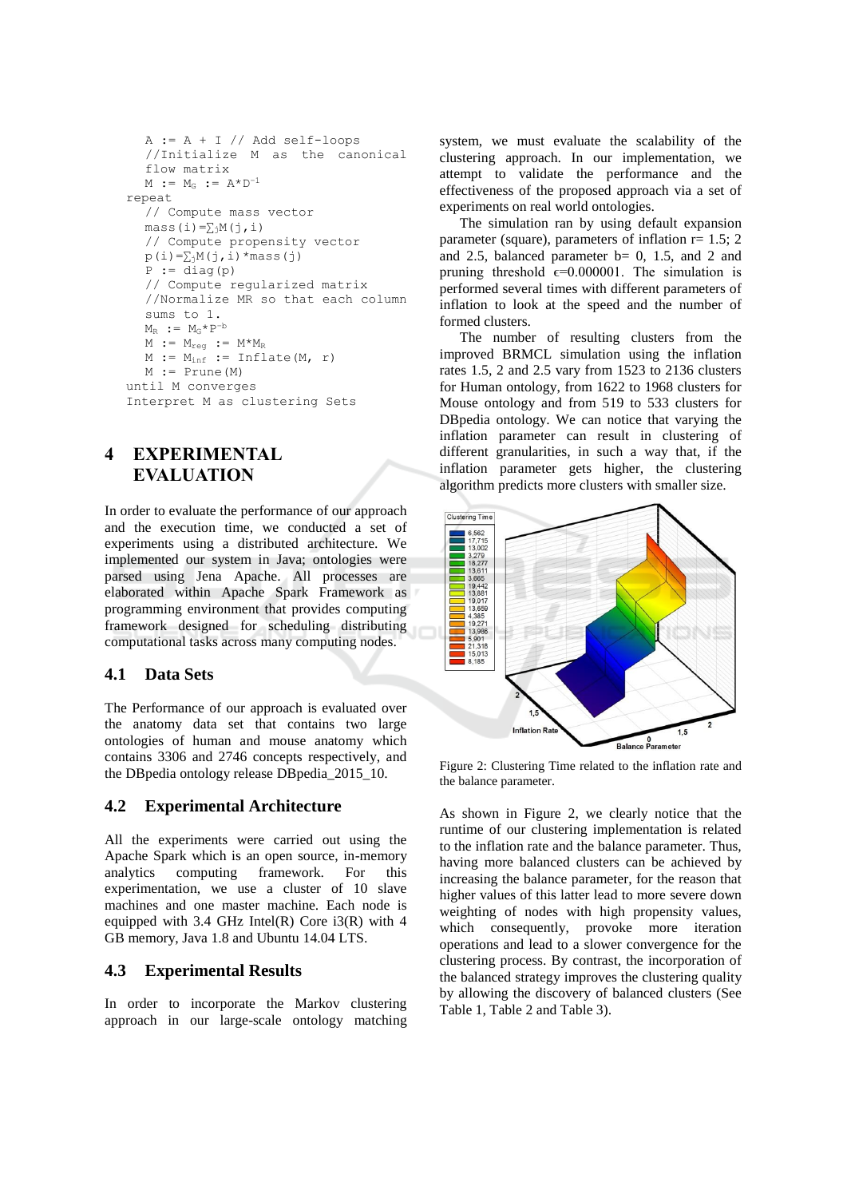```
A := A + I // Add self-loops//Initialize M as the canonical
  flow matrix
  M := M_G := A^*D^{-1}repeat.
  // Compute mass vector
  mass (i) = \sum_{i} M(i, i)// Compute propensity vector
  p(i) = \sum_{j} M(j, i) * mass(j)P := diag(p)// Compute regularized matrix
  //Normalize MR so that each column
  sums to 1.
  M_R := M_G * P^{-b}M := M_{reg} := M^*M_RM := M_{inf} := Infile(M, r)M := Prune (M)
until M converges
Interpret M as clustering Sets
```
 $\boldsymbol{4}$ **EXPERIMENTAL EVALUATION** 

In order to evaluate the performance of our approach and the execution time, we conducted a set of experiments using a distributed architecture. We implemented our system in Java; ontologies were parsed using Jena Apache. All processes are elaborated within Apache Spark Framework as programming environment that provides computing framework designed for scheduling distributing computational tasks across many computing nodes.

#### 4.1 **Data Sets**

The Performance of our approach is evaluated over the anatomy data set that contains two large ontologies of human and mouse anatomy which contains 3306 and 2746 concepts respectively, and the DB pedia ontology release DB pedia 2015 10.

#### $4.2$ **Experimental Architecture**

All the experiments were carried out using the Apache Spark which is an open source, in-memory analytics computing framework. For this experimentation, we use a cluster of 10 slave machines and one master machine. Each node is equipped with 3.4 GHz Intel(R) Core  $i3(R)$  with 4 GB memory, Java 1.8 and Ubuntu 14.04 LTS.

#### 4.3 **Experimental Results**

In order to incorporate the Markov clustering approach in our large-scale ontology matching

system, we must evaluate the scalability of the clustering approach. In our implementation, we attempt to validate the performance and the effectiveness of the proposed approach via a set of experiments on real world ontologies.

The simulation ran by using default expansion parameter (square), parameters of inflation  $r = 1.5$ ; 2 and 2.5, balanced parameter  $b = 0$ , 1.5, and 2 and pruning threshold  $\epsilon$ =0.000001. The simulation is performed several times with different parameters of inflation to look at the speed and the number of formed clusters.

The number of resulting clusters from the improved BRMCL simulation using the inflation rates 1.5, 2 and 2.5 vary from 1523 to 2136 clusters for Human ontology, from 1622 to 1968 clusters for Mouse ontology and from 519 to 533 clusters for DB pedia ontology. We can notice that varying the inflation parameter can result in clustering of different granularities, in such a way that, if the inflation parameter gets higher, the clustering algorithm predicts more clusters with smaller size.



Figure 2: Clustering Time related to the inflation rate and the balance parameter.

As shown in Figure 2, we clearly notice that the runtime of our clustering implementation is related to the inflation rate and the balance parameter. Thus, having more balanced clusters can be achieved by increasing the balance parameter, for the reason that higher values of this latter lead to more severe down weighting of nodes with high propensity values, which consequently, provoke more iteration operations and lead to a slower convergence for the clustering process. By contrast, the incorporation of the balanced strategy improves the clustering quality by allowing the discovery of balanced clusters (See Table 1, Table 2 and Table 3).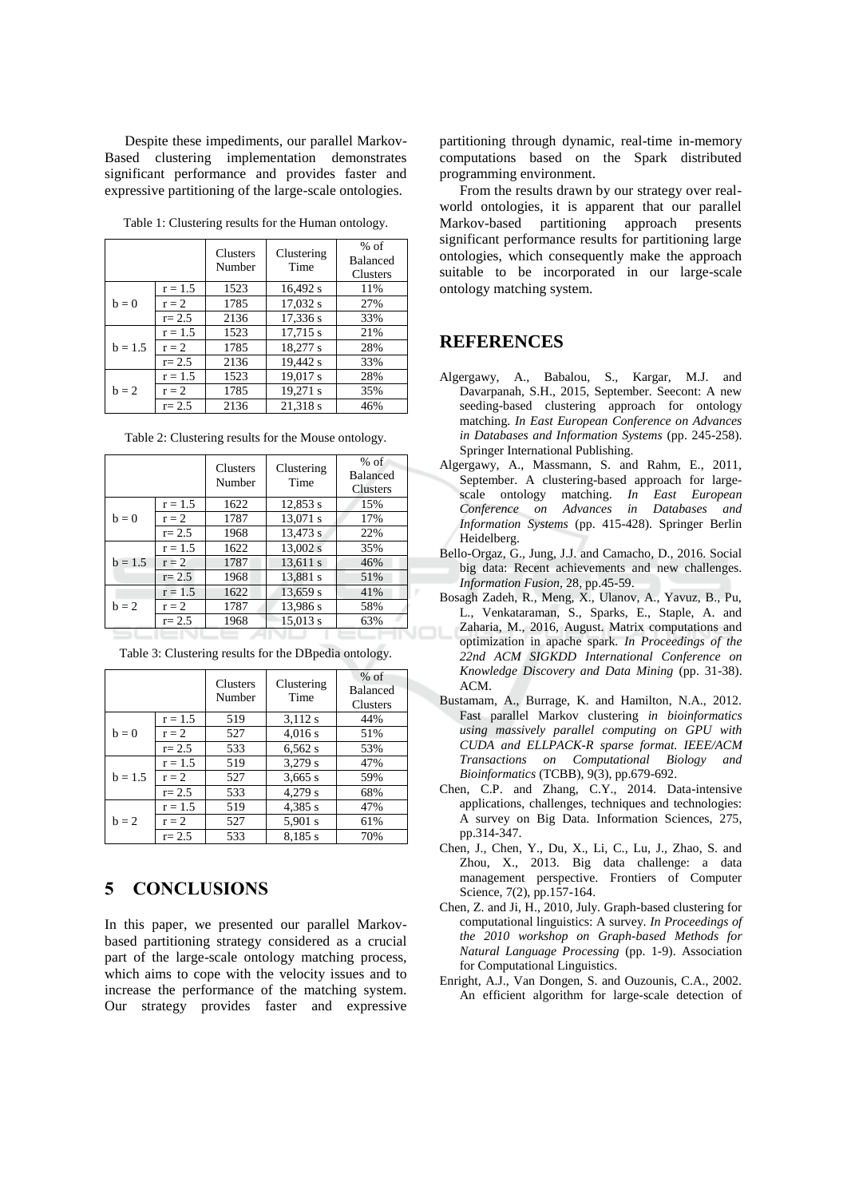Despite these impediments, our parallel Markov-Based clustering implementation demonstrates significant performance and provides faster and expressive partitioning of the large-scale ontologies.

|  | Table 1: Clustering results for the Human ontology. |  |  |  |  |
|--|-----------------------------------------------------|--|--|--|--|
|--|-----------------------------------------------------|--|--|--|--|

|           |           | <b>Clusters</b><br>Number | Clustering<br>Time | $%$ of<br><b>Balanced</b><br><b>Clusters</b> |
|-----------|-----------|---------------------------|--------------------|----------------------------------------------|
| $b=0$     | $r = 1.5$ | 1523                      | 16,492 s           | 11%                                          |
|           | $r = 2$   | 1785                      | 17,032 s           | 27%                                          |
|           | $r = 2.5$ | 2136                      | 17,336 s           | 33%                                          |
| $b = 1.5$ | $r = 1.5$ | 1523                      | $17,715$ s         | 21%                                          |
|           | $r = 2$   | 1785                      | 18,277 s           | 28%                                          |
|           | $r = 2.5$ | 2136                      | 19,442 s           | 33%                                          |
| $h = 2$   | $r = 1.5$ | 1523                      | 19,017 s           | 28%                                          |
|           | $r = 2$   | 1785                      | 19,271 s           | 35%                                          |
|           | $r = 2.5$ | 2136                      | 21.318 s           | 46%                                          |

|  | Table 2: Clustering results for the Mouse ontology |  |  |  |  |  |
|--|----------------------------------------------------|--|--|--|--|--|
|--|----------------------------------------------------|--|--|--|--|--|

|           |           | <b>Clusters</b><br>Number | Clustering<br>Time | $%$ of<br><b>Balanced</b><br><b>Clusters</b> |  |
|-----------|-----------|---------------------------|--------------------|----------------------------------------------|--|
| $b=0$     | $r = 1.5$ | 1622                      | 12,853 s           | 15%                                          |  |
|           | $r = 2$   | 1787                      | 13,071 s           | 17%                                          |  |
|           | $r = 2.5$ | 1968                      | 13.473 s           | 22%                                          |  |
| $b = 1.5$ | $r = 1.5$ | 1622                      | 13,002 s           | 35%                                          |  |
|           | $r = 2$   | 1787                      | 13,611 s           | 46%                                          |  |
|           | $r = 2.5$ | 1968                      | 13.881 s           | 51%                                          |  |
| $h = 2$   | $r = 1.5$ | 1622                      | 13,659 s           | 41%                                          |  |
|           | $r = 2$   | 1787                      | 13,986 s           | 58%                                          |  |
|           | $r = 2.5$ | 1968                      | 15,013 s           | 63%                                          |  |
|           |           |                           |                    |                                              |  |

|           |           | <b>Clusters</b><br>Number | Clustering<br>Time | $%$ of<br><b>Balanced</b><br>Clusters |
|-----------|-----------|---------------------------|--------------------|---------------------------------------|
| $b=0$     | $r = 1.5$ | 519                       | 3,112 s            | 44%                                   |
|           | $r = 2$   | 527                       | 4,016s             | 51%                                   |
|           | $r = 2.5$ | 533                       | 6,562s             | 53%                                   |
| $b = 1.5$ | $r = 1.5$ | 519                       | 3,279 s            | 47%                                   |
|           | $r = 2$   | 527                       | 3,665 s            | 59%                                   |
|           | $r = 2.5$ | 533                       | 4,279 s            | 68%                                   |
| $h = 2$   | $r = 1.5$ | 519                       | 4,385 s            | 47%                                   |
|           | $r = 2$   | 527                       | 5,901 s            | 61%                                   |
|           | $r = 2.5$ | 533                       | 8.185 s            | 70%                                   |

Table 3: Clustering results for the DBpedia ontology.

#### 5 **CONCLUSIONS**

In this paper, we presented our parallel Markovbased partitioning strategy considered as a crucial part of the large-scale ontology matching process, which aims to cope with the velocity issues and to increase the performance of the matching system. Our strategy provides faster and expressive

partitioning through dynamic, real-time in-memory computations based on the Spark distributed programming environment.

From the results drawn by our strategy over realworld ontologies, it is apparent that our parallel Markov-based partitioning approach presents significant performance results for partitioning large ontologies, which consequently make the approach suitable to be incorporated in our large-scale ontology matching system.

### **REFERENCES**

- Algergawy, A., Babalou, S., Kargar, M.J. and Davarpanah, S.H., 2015, September. Seecont: A new seeding-based clustering approach for ontology matching. In East European Conference on Advances in Databases and Information Systems (pp. 245-258). Springer International Publishing.
- Algergawy, A., Massmann, S. and Rahm, E., 2011, September. A clustering-based approach for largescale ontology matching. In East European<br>Conference on Advances in Databases and Information Systems (pp. 415-428). Springer Berlin Heidelberg.
- Bello-Orgaz, G., Jung, J.J. and Camacho, D., 2016. Social big data: Recent achievements and new challenges. Information Fusion, 28, pp.45-59.
- Bosagh Zadeh, R., Meng, X., Ulanov, A., Yavuz, B., Pu, L., Venkataraman, S., Sparks, E., Staple, A. and Zaharia, M., 2016, August. Matrix computations and optimization in apache spark. In Proceedings of the 22nd ACM SIGKDD International Conference on Knowledge Discovery and Data Mining (pp. 31-38). ACM.
- Bustamam, A., Burrage, K. and Hamilton, N.A., 2012. Fast parallel Markov clustering in bioinformatics using massively parallel computing on GPU with CUDA and ELLPACK-R sparse format. IEEE/ACM Transactions on Computational Biology and Bioinformatics (TCBB), 9(3), pp.679-692.
- Chen, C.P. and Zhang, C.Y., 2014. Data-intensive applications, challenges, techniques and technologies: A survey on Big Data. Information Sciences, 275, pp.314-347.
- Chen, J., Chen, Y., Du, X., Li, C., Lu, J., Zhao, S. and Zhou, X., 2013. Big data challenge: a data management perspective. Frontiers of Computer Science, 7(2), pp.157-164.
- Chen, Z. and Ji, H., 2010, July. Graph-based clustering for computational linguistics: A survey. In Proceedings of the 2010 workshop on Graph-based Methods for Natural Language Processing (pp. 1-9). Association for Computational Linguistics.
- Enright, A.J., Van Dongen, S. and Ouzounis, C.A., 2002. An efficient algorithm for large-scale detection of